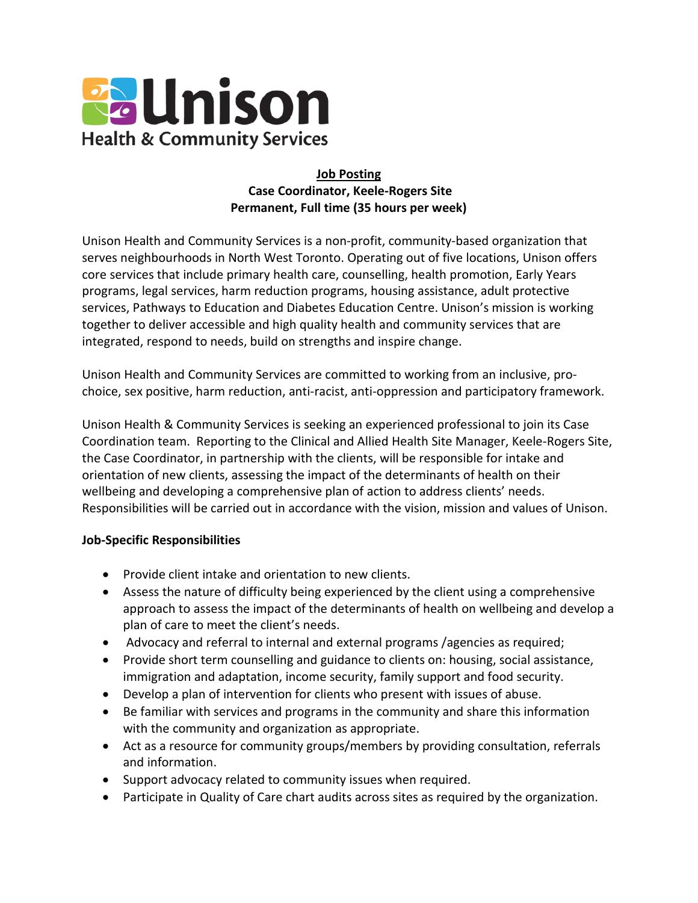

## **Job Posting Case Coordinator, Keele-Rogers Site Permanent, Full time (35 hours per week)**

Unison Health and Community Services is a non-profit, community-based organization that serves neighbourhoods in North West Toronto. Operating out of five locations, Unison offers core services that include primary health care, counselling, health promotion, Early Years programs, legal services, harm reduction programs, housing assistance, adult protective services, Pathways to Education and Diabetes Education Centre. Unison's mission is working together to deliver accessible and high quality health and community services that are integrated, respond to needs, build on strengths and inspire change.

Unison Health and Community Services are committed to working from an inclusive, prochoice, sex positive, harm reduction, anti-racist, anti-oppression and participatory framework.

Unison Health & Community Services is seeking an experienced professional to join its Case Coordination team. Reporting to the Clinical and Allied Health Site Manager, Keele-Rogers Site, the Case Coordinator, in partnership with the clients, will be responsible for intake and orientation of new clients, assessing the impact of the determinants of health on their wellbeing and developing a comprehensive plan of action to address clients' needs. Responsibilities will be carried out in accordance with the vision, mission and values of Unison.

## **Job-Specific Responsibilities**

- Provide client intake and orientation to new clients.
- Assess the nature of difficulty being experienced by the client using a comprehensive approach to assess the impact of the determinants of health on wellbeing and develop a plan of care to meet the client's needs.
- Advocacy and referral to internal and external programs /agencies as required;
- Provide short term counselling and guidance to clients on: housing, social assistance, immigration and adaptation, income security, family support and food security.
- Develop a plan of intervention for clients who present with issues of abuse.
- Be familiar with services and programs in the community and share this information with the community and organization as appropriate.
- Act as a resource for community groups/members by providing consultation, referrals and information.
- Support advocacy related to community issues when required.
- Participate in Quality of Care chart audits across sites as required by the organization.